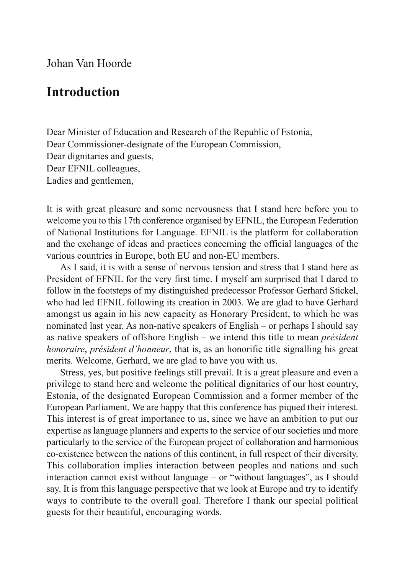Johan Van Hoorde

## **Introduction**

Dear Minister of Education and Research of the Republic of Estonia, Dear Commissioner-designate of the European Commission, Dear dignitaries and guests, Dear EFNIL colleagues, Ladies and gentlemen,

It is with great pleasure and some nervousness that I stand here before you to welcome you to this 17th conference organised by EFNIL, the European Federation of National Institutions for Language. EFNIL is the platform for collaboration and the exchange of ideas and practices concerning the official languages of the various countries in Europe, both EU and non-EU members.

As I said, it is with a sense of nervous tension and stress that I stand here as President of EFNIL for the very first time. I myself am surprised that I dared to follow in the footsteps of my distinguished predecessor Professor Gerhard Stickel, who had led EFNIL following its creation in 2003. We are glad to have Gerhard amongst us again in his new capacity as Honorary President, to which he was nominated last year. As non-native speakers of English – or perhaps I should say as native speakers of offshore English – we intend this title to mean *président honoraire*, *président d'honneur*, that is, as an honorific title signalling his great merits. Welcome, Gerhard, we are glad to have you with us.

Stress, yes, but positive feelings still prevail. It is a great pleasure and even a privilege to stand here and welcome the political dignitaries of our host country, Estonia, of the designated European Commission and a former member of the European Parliament. We are happy that this conference has piqued their interest. This interest is of great importance to us, since we have an ambition to put our expertise as language planners and experts to the service of our societies and more particularly to the service of the European project of collaboration and harmonious co-existence between the nations of this continent, in full respect of their diversity. This collaboration implies interaction between peoples and nations and such interaction cannot exist without language – or "without languages", as I should say. It is from this language perspective that we look at Europe and try to identify ways to contribute to the overall goal. Therefore I thank our special political guests for their beautiful, encouraging words.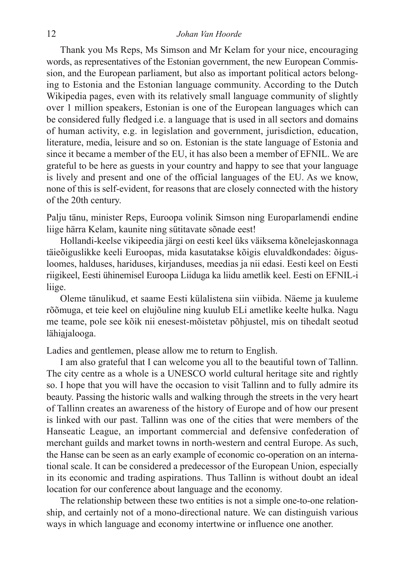## 12 *Johan Van Hoorde*

Thank you Ms Reps, Ms Simson and Mr Kelam for your nice, encouraging words, as representatives of the Estonian government, the new European Commission, and the European parliament, but also as important political actors belonging to Estonia and the Estonian language community. According to the Dutch Wikipedia pages, even with its relatively small language community of slightly over 1 million speakers, Estonian is one of the European languages which can be considered fully fledged i.e. a language that is used in all sectors and domains of human activity, e.g. in legislation and government, jurisdiction, education, literature, media, leisure and so on. Estonian is the state language of Estonia and since it became a member of the EU, it has also been a member of EFNIL. We are grateful to be here as guests in your country and happy to see that your language is lively and present and one of the official languages of the EU. As we know, none of this is self-evident, for reasons that are closely connected with the history of the 20th century.

Palju tänu, minister Reps, Euroopa volinik Simson ning Europarlamendi endine liige härra Kelam, kaunite ning sütitavate sõnade eest!

Hollandi-keelse vikipeedia järgi on eesti keel üks väiksema kõnelejaskonnaga täieõiguslikke keeli Euroopas, mida kasutatakse kõigis eluvaldkondades: õigusloomes, halduses, hariduses, kirjanduses, meedias ja nii edasi. Eesti keel on Eesti riigikeel, Eesti ühinemisel Euroopa Liiduga ka liidu ametlik keel. Eesti on EFNIL-i liige.

Oleme tänulikud, et saame Eesti külalistena siin viibida. Näeme ja kuuleme rõõmuga, et teie keel on elujõuline ning kuulub ELi ametlike keelte hulka. Nagu me teame, pole see kõik nii enesest-mõistetav põhjustel, mis on tihedalt seotud lähiajalooga.

Ladies and gentlemen, please allow me to return to English.

I am also grateful that I can welcome you all to the beautiful town of Tallinn. The city centre as a whole is a UNESCO world cultural heritage site and rightly so. I hope that you will have the occasion to visit Tallinn and to fully admire its beauty. Passing the historic walls and walking through the streets in the very heart of Tallinn creates an awareness of the history of Europe and of how our present is linked with our past. Tallinn was one of the cities that were members of the Hanseatic League, an important commercial and defensive confederation of merchant guilds and market towns in north-western and central Europe. As such, the Hanse can be seen as an early example of economic co-operation on an international scale. It can be considered a predecessor of the European Union, especially in its economic and trading aspirations. Thus Tallinn is without doubt an ideal location for our conference about language and the economy.

The relationship between these two entities is not a simple one-to-one relationship, and certainly not of a mono-directional nature. We can distinguish various ways in which language and economy intertwine or influence one another.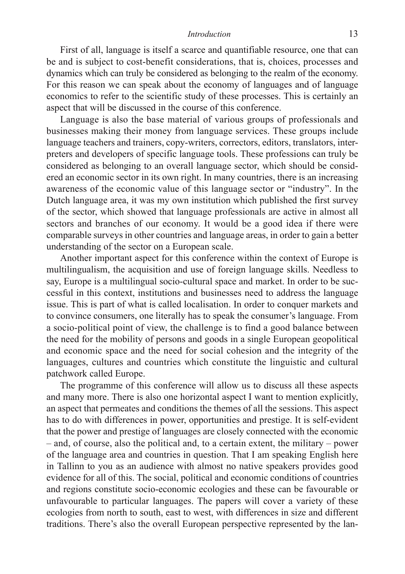## *Introduction* 13

First of all, language is itself a scarce and quantifiable resource, one that can be and is subject to cost-benefit considerations, that is, choices, processes and dynamics which can truly be considered as belonging to the realm of the economy. For this reason we can speak about the economy of languages and of language economics to refer to the scientific study of these processes. This is certainly an aspect that will be discussed in the course of this conference.

Language is also the base material of various groups of professionals and businesses making their money from language services. These groups include language teachers and trainers, copy-writers, correctors, editors, translators, interpreters and developers of specific language tools. These professions can truly be considered as belonging to an overall language sector, which should be considered an economic sector in its own right. In many countries, there is an increasing awareness of the economic value of this language sector or "industry". In the Dutch language area, it was my own institution which published the first survey of the sector, which showed that language professionals are active in almost all sectors and branches of our economy. It would be a good idea if there were comparable surveys in other countries and language areas, in order to gain a better understanding of the sector on a European scale.

Another important aspect for this conference within the context of Europe is multilingualism, the acquisition and use of foreign language skills. Needless to say, Europe is a multilingual socio-cultural space and market. In order to be successful in this context, institutions and businesses need to address the language issue. This is part of what is called localisation. In order to conquer markets and to convince consumers, one literally has to speak the consumer's language. From a socio-political point of view, the challenge is to find a good balance between the need for the mobility of persons and goods in a single European geopolitical and economic space and the need for social cohesion and the integrity of the languages, cultures and countries which constitute the linguistic and cultural patchwork called Europe.

The programme of this conference will allow us to discuss all these aspects and many more. There is also one horizontal aspect I want to mention explicitly, an aspect that permeates and conditions the themes of all the sessions. This aspect has to do with differences in power, opportunities and prestige. It is self-evident that the power and prestige of languages are closely connected with the economic – and, of course, also the political and, to a certain extent, the military – power of the language area and countries in question. That I am speaking English here in Tallinn to you as an audience with almost no native speakers provides good evidence for all of this. The social, political and economic conditions of countries and regions constitute socio-economic ecologies and these can be favourable or unfavourable to particular languages. The papers will cover a variety of these ecologies from north to south, east to west, with differences in size and different traditions. There's also the overall European perspective represented by the lan-